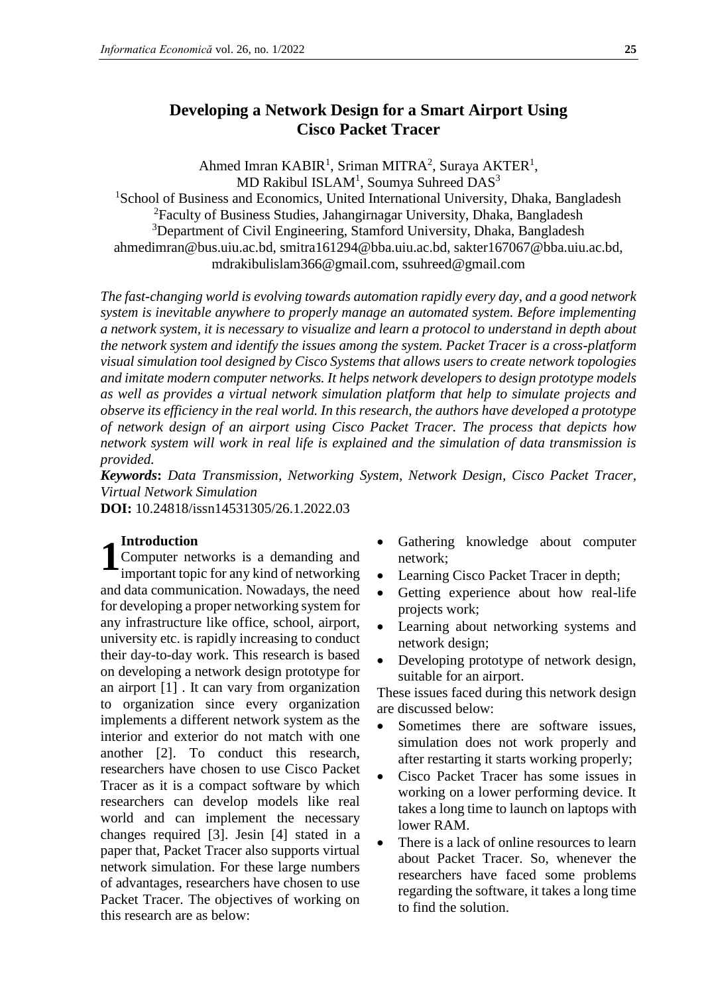# **Developing a Network Design for a Smart Airport Using Cisco Packet Tracer**

Ahmed Imran KABIR<sup>1</sup>, Sriman MITRA<sup>2</sup>, Suraya AKTER<sup>1</sup>,  $MD$  Rakibul ISLAM<sup>1</sup>, Soumya Suhreed  $DAS^3$ 

<sup>1</sup>School of Business and Economics, United International University, Dhaka, Bangladesh <sup>2</sup>Faculty of Business Studies, Jahangirnagar University, Dhaka, Bangladesh <sup>3</sup>Department of Civil Engineering, Stamford University, Dhaka, Bangladesh ahmedimran@bus.uiu.ac.bd, smitra161294@bba.uiu.ac.bd, sakter167067@bba.uiu.ac.bd, mdrakibulislam366@gmail.com, ssuhreed@gmail.com

*The fast-changing world is evolving towards automation rapidly every day, and a good network system is inevitable anywhere to properly manage an automated system. Before implementing a network system, it is necessary to visualize and learn a protocol to understand in depth about the network system and identify the issues among the system. Packet Tracer is a cross-platform visual simulation tool designed by Cisco Systems that allows users to create network topologies and imitate modern computer networks. It helps network developers to design prototype models as well as provides a virtual network simulation platform that help to simulate projects and observe its efficiency in the real world. In this research, the authors have developed a prototype of network design of an airport using Cisco Packet Tracer. The process that depicts how network system will work in real life is explained and the simulation of data transmission is provided.* 

*Keywords***:** *Data Transmission, Networking System, Network Design, Cisco Packet Tracer, Virtual Network Simulation*

**DOI:** 10.24818/issn14531305/26.1.2022.03

## **Introduction**

Computer networks is a demanding and important topic for any kind of networking and data communication. Nowadays, the need for developing a proper networking system for any infrastructure like office, school, airport, university etc. is rapidly increasing to conduct their day-to-day work. This research is based on developing a network design prototype for an airport [1] . It can vary from organization to organization since every organization implements a different network system as the interior and exterior do not match with one another [2]. To conduct this research, researchers have chosen to use Cisco Packet Tracer as it is a compact software by which researchers can develop models like real world and can implement the necessary changes required [3]. Jesin [4] stated in a paper that, Packet Tracer also supports virtual network simulation. For these large numbers of advantages, researchers have chosen to use Packet Tracer. The objectives of working on this research are as below: **1**

- Gathering knowledge about computer network;
- Learning Cisco Packet Tracer in depth;
- Getting experience about how real-life projects work;
- Learning about networking systems and network design;
- Developing prototype of network design, suitable for an airport.

These issues faced during this network design are discussed below:

- Sometimes there are software issues, simulation does not work properly and after restarting it starts working properly;
- Cisco Packet Tracer has some issues in working on a lower performing device. It takes a long time to launch on laptops with lower RAM.
- There is a lack of online resources to learn about Packet Tracer. So, whenever the researchers have faced some problems regarding the software, it takes a long time to find the solution.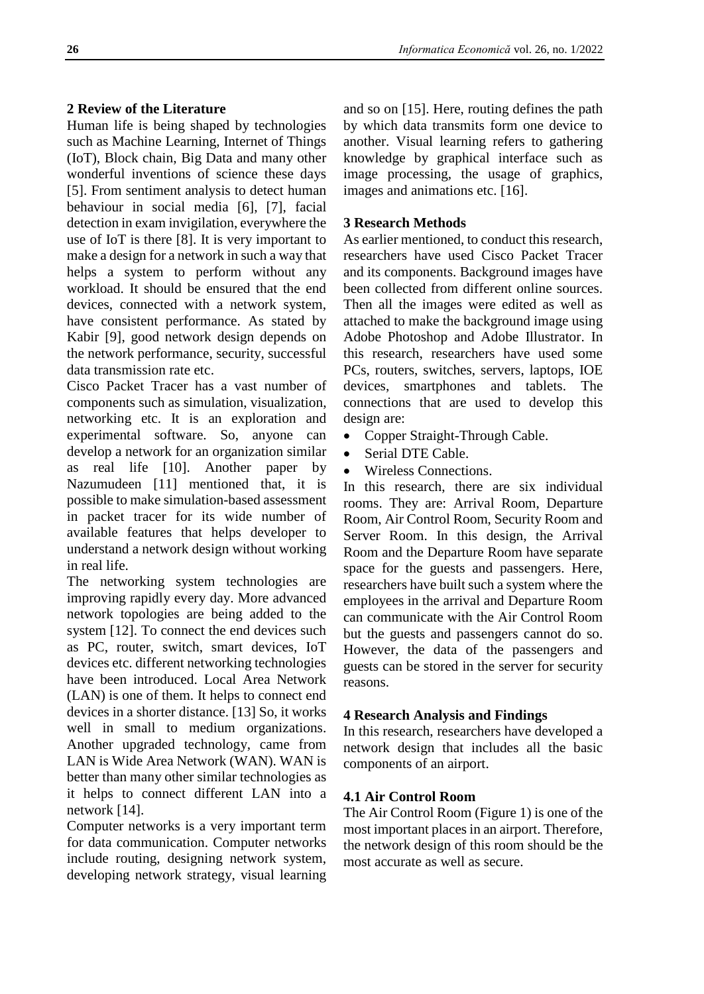## **2 Review of the Literature**

Human life is being shaped by technologies such as Machine Learning, Internet of Things (IoT), Block chain, Big Data and many other wonderful inventions of science these days [5]. From sentiment analysis to detect human behaviour in social media [6], [7], facial detection in exam invigilation, everywhere the use of IoT is there [8]. It is very important to make a design for a network in such a way that helps a system to perform without any workload. It should be ensured that the end devices, connected with a network system, have consistent performance. As stated by Kabir [9], good network design depends on the network performance, security, successful data transmission rate etc.

Cisco Packet Tracer has a vast number of components such as simulation, visualization, networking etc. It is an exploration and experimental software. So, anyone can develop a network for an organization similar as real life [10]. Another paper by Nazumudeen [11] mentioned that, it is possible to make simulation-based assessment in packet tracer for its wide number of available features that helps developer to understand a network design without working in real life.

The networking system technologies are improving rapidly every day. More advanced network topologies are being added to the system [12]. To connect the end devices such as PC, router, switch, smart devices, IoT devices etc. different networking technologies have been introduced. Local Area Network (LAN) is one of them. It helps to connect end devices in a shorter distance. [13] So, it works well in small to medium organizations. Another upgraded technology, came from LAN is Wide Area Network (WAN). WAN is better than many other similar technologies as it helps to connect different LAN into a network [14].

Computer networks is a very important term for data communication. Computer networks include routing, designing network system, developing network strategy, visual learning

and so on [15]. Here, routing defines the path by which data transmits form one device to another. Visual learning refers to gathering knowledge by graphical interface such as image processing, the usage of graphics, images and animations etc. [16].

## **3 Research Methods**

As earlier mentioned, to conduct this research, researchers have used Cisco Packet Tracer and its components. Background images have been collected from different online sources. Then all the images were edited as well as attached to make the background image using Adobe Photoshop and Adobe Illustrator. In this research, researchers have used some PCs, routers, switches, servers, laptops, IOE devices, smartphones and tablets. The connections that are used to develop this design are:

- Copper Straight-Through Cable.
- Serial DTE Cable.
- Wireless Connections.

In this research, there are six individual rooms. They are: Arrival Room, Departure Room, Air Control Room, Security Room and Server Room. In this design, the Arrival Room and the Departure Room have separate space for the guests and passengers. Here, researchers have built such a system where the employees in the arrival and Departure Room can communicate with the Air Control Room but the guests and passengers cannot do so. However, the data of the passengers and guests can be stored in the server for security reasons.

## **4 Research Analysis and Findings**

In this research, researchers have developed a network design that includes all the basic components of an airport.

## **4.1 Air Control Room**

The Air Control Room (Figure 1) is one of the most important places in an airport. Therefore, the network design of this room should be the most accurate as well as secure.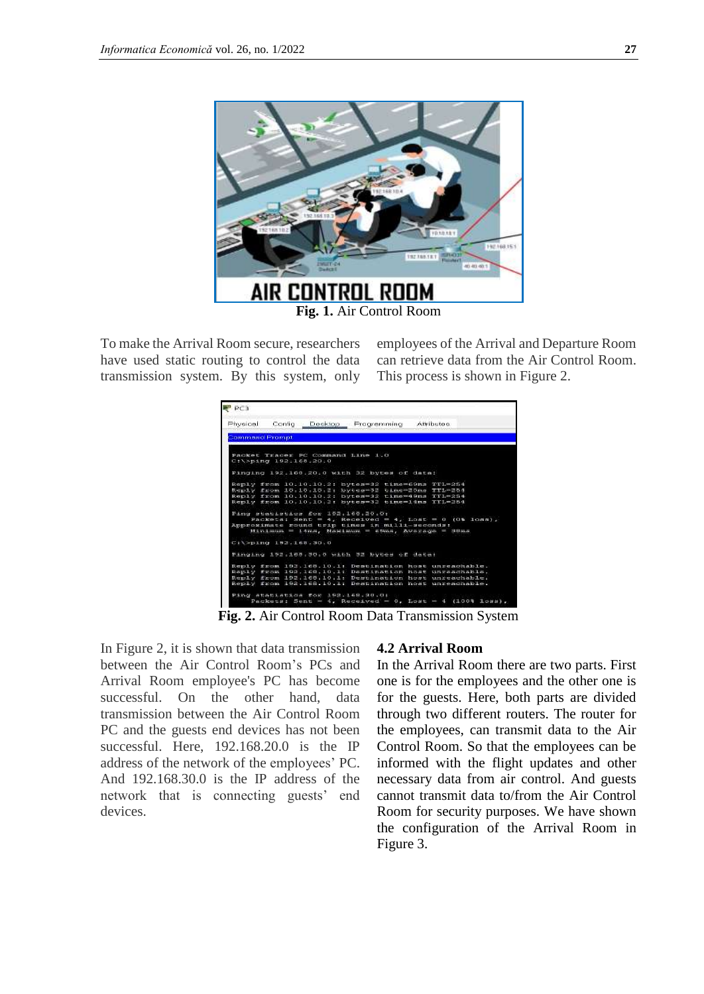

To make the Arrival Room secure, researchers have used static routing to control the data transmission system. By this system, only employees of the Arrival and Departure Room can retrieve data from the Air Control Room. This process is shown in Figure 2.



**Fig. 2.** Air Control Room Data Transmission System

In Figure 2, it is shown that data transmission between the Air Control Room's PCs and Arrival Room employee's PC has become successful. On the other hand, data transmission between the Air Control Room PC and the guests end devices has not been successful. Here, 192.168.20.0 is the IP address of the network of the employees' PC. And 192.168.30.0 is the IP address of the network that is connecting guests' end devices.

#### **4.2 Arrival Room**

In the Arrival Room there are two parts. First one is for the employees and the other one is for the guests. Here, both parts are divided through two different routers. The router for the employees, can transmit data to the Air Control Room. So that the employees can be informed with the flight updates and other necessary data from air control. And guests cannot transmit data to/from the Air Control Room for security purposes. We have shown the configuration of the Arrival Room in Figure 3.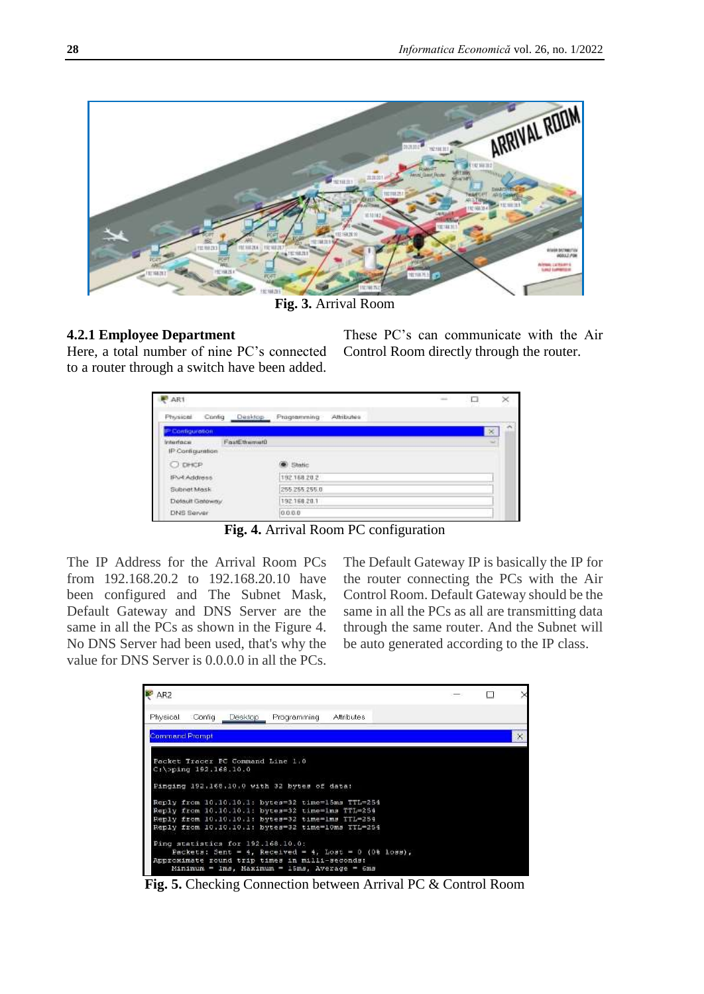

**Fig. 3.** Arrival Room

# **4.2.1 Employee Department**

Here, a total number of nine PC's connected to a router through a switch have been added.

These PC's can communicate with the Air Control Room directly through the router.

| AR1                                           |                           | man. | □ | ×                  |
|-----------------------------------------------|---------------------------|------|---|--------------------|
| Physical<br>Config<br>Desktop                 | Attributes<br>Programming |      |   |                    |
| P Configuration                               |                           |      |   | $\rightarrow$<br>× |
| FastEthemet0<br>Interface<br>IP Configuration |                           |      |   |                    |
| C DHCP                                        |                           |      |   |                    |
| <b>IFV-4 Address</b>                          | 192.168.20.2              |      |   |                    |
| Subnet Mosk                                   | 255.265.255.0             |      |   |                    |
| Detault Gateway                               | 192.158.20.1              |      |   |                    |
| DNS Server                                    | 0.000                     |      |   |                    |

**Fig. 4.** Arrival Room PC configuration

The IP Address for the Arrival Room PCs from 192.168.20.2 to 192.168.20.10 have been configured and The Subnet Mask, Default Gateway and DNS Server are the same in all the PCs as shown in the Figure 4. No DNS Server had been used, that's why the value for DNS Server is 0.0.0.0 in all the PCs. The Default Gateway IP is basically the IP for the router connecting the PCs with the Air Control Room. Default Gateway should be the same in all the PCs as all are transmitting data through the same router. And the Subnet will be auto generated according to the IP class.

| AR2                   |                          |          |                                                                                                                                                                                                                |            |  | <b>COL</b> | ×        |
|-----------------------|--------------------------|----------|----------------------------------------------------------------------------------------------------------------------------------------------------------------------------------------------------------------|------------|--|------------|----------|
| Physical              | Config                   | Desktop. | Programming                                                                                                                                                                                                    | Attributes |  |            |          |
| <b>Command Frompt</b> |                          |          |                                                                                                                                                                                                                |            |  |            | $\times$ |
|                       | $C:\5$ ping 192.168.10.0 |          | Packet Tracer PC Command Line 1.0<br>Pinging 192.168.10.0 with 32 bytes of data:                                                                                                                               |            |  |            |          |
|                       |                          |          | Reply from 10.10.10.1: bytes=32 time=15ms TTL=254<br>Reply from 10.10.10.1: bytes=32 time=1ms TTL=254<br>Reply from 10.10.10.1: bytes=32 time=1ms TTL=254<br>Reply from 10.10.10.1: bytes=32 time=10ms TTL=254 |            |  |            |          |
|                       |                          |          | Ping statistics for 192.168.10.0:<br>Packets: Sent = 4, Received = 4, Lost = 0 (0% loss),<br>Approximate round trip times in milli-seconds:<br>Minimum = 1ms, Maximum = 15ms, Average = 6ms                    |            |  |            |          |

**Fig. 5.** Checking Connection between Arrival PC & Control Room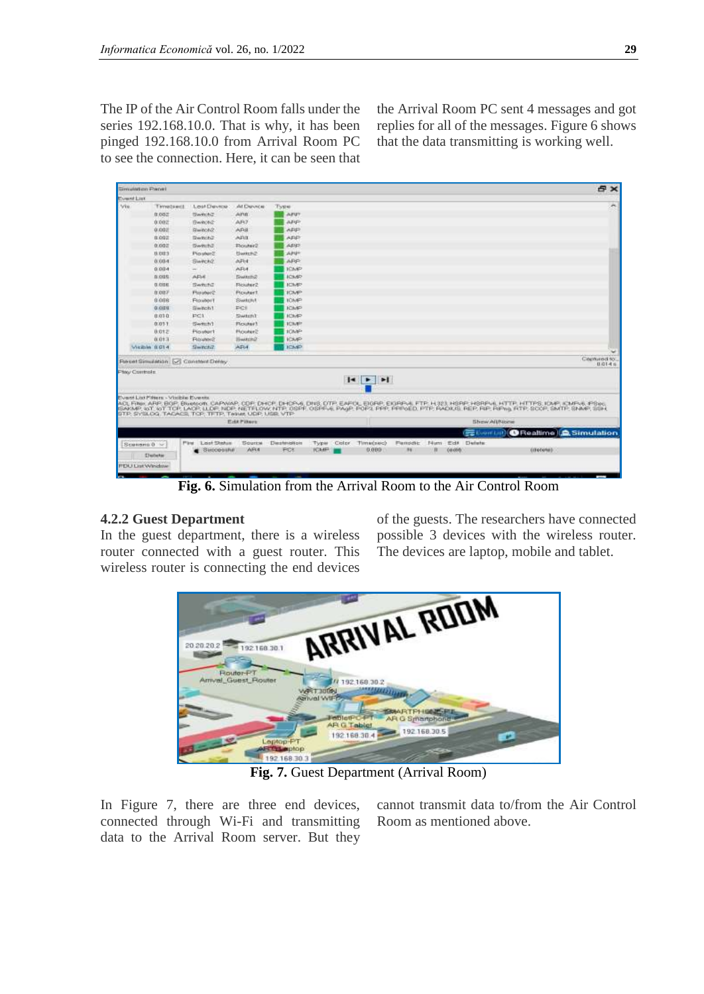The IP of the Air Control Room falls under the series 192.168.10.0. That is why, it has been pinged 192.168.10.0 from Arrival Room PC to see the connection. Here, it can be seen that the Arrival Room PC sent 4 messages and got replies for all of the messages. Figure 6 shows that the data transmitting is working well.

| Silenvilletion Parnel  |                                      |                                                                                                                                                                                                                                                                                                                                                            |                   |               |              |                 |          |      |             |              |            | <b>Bx</b>                                 |
|------------------------|--------------------------------------|------------------------------------------------------------------------------------------------------------------------------------------------------------------------------------------------------------------------------------------------------------------------------------------------------------------------------------------------------------|-------------------|---------------|--------------|-----------------|----------|------|-------------|--------------|------------|-------------------------------------------|
| <b>EvantList</b>       |                                      |                                                                                                                                                                                                                                                                                                                                                            |                   |               |              |                 |          |      |             |              |            |                                           |
| Via.                   | Timetsect                            | Lost Devroe                                                                                                                                                                                                                                                                                                                                                | ALDINOR           | Type          |              |                 |          |      |             |              |            | ×                                         |
|                        | 0.002                                | Swed-h2                                                                                                                                                                                                                                                                                                                                                    | <b>AINS</b>       | AFU"          |              |                 |          |      |             |              |            |                                           |
|                        | 0.002                                | Sween2                                                                                                                                                                                                                                                                                                                                                     | AFO               | ARP           |              |                 |          |      |             |              |            |                                           |
|                        | 0.007                                | Simpon2                                                                                                                                                                                                                                                                                                                                                    | AR8               | <b>ARP</b>    |              |                 |          |      |             |              |            |                                           |
|                        | 0.002                                | Sween2                                                                                                                                                                                                                                                                                                                                                     | <b>ARI</b>        | <b>ARP</b>    |              |                 |          |      |             |              |            |                                           |
|                        | 0.002                                | Dwitch2                                                                                                                                                                                                                                                                                                                                                    | Flouter2          | APP           |              |                 |          |      |             |              |            |                                           |
|                        | 8.003                                | Prouter?                                                                                                                                                                                                                                                                                                                                                   | <b>Bween2</b>     | <b>ANP</b>    |              |                 |          |      |             |              |            |                                           |
|                        | 0.004                                | Swech2                                                                                                                                                                                                                                                                                                                                                     | <b>AFH</b>        | AFGP:         |              |                 |          |      |             |              |            |                                           |
|                        | 0.004                                |                                                                                                                                                                                                                                                                                                                                                            | AF64              | <b>ICANP</b>  |              |                 |          |      |             |              |            |                                           |
|                        | n one                                | AFH.                                                                                                                                                                                                                                                                                                                                                       | <b>Switch2</b>    | <b>ICS/SP</b> |              |                 |          |      |             |              |            |                                           |
|                        | <b>DODE</b>                          | Swhite:                                                                                                                                                                                                                                                                                                                                                    | Flourier2         | <b>ICMP</b>   |              |                 |          |      |             |              |            |                                           |
|                        | 0.007                                | Floruber2                                                                                                                                                                                                                                                                                                                                                  | <b>Picsular1</b>  | <b>ICMP</b>   |              |                 |          |      |             |              |            |                                           |
|                        | 9,008                                | <b>Floubort</b>                                                                                                                                                                                                                                                                                                                                            | Switch/L          | <b>ICMP</b>   |              |                 |          |      |             |              |            |                                           |
|                        | 0.009                                | Simpob <sub>1</sub>                                                                                                                                                                                                                                                                                                                                        | PCE               | <b>ICMP</b>   |              |                 |          |      |             |              |            |                                           |
|                        | 0.030                                | PC1                                                                                                                                                                                                                                                                                                                                                        | SwitchT           | <b>ICMP</b>   |              |                 |          |      |             |              |            |                                           |
|                        | 0.011                                | Sweet 1                                                                                                                                                                                                                                                                                                                                                    | Flouter3          | <b>ICMP!</b>  |              |                 |          |      |             |              |            |                                           |
|                        | 3.012                                | <b>Pinukert</b>                                                                                                                                                                                                                                                                                                                                            | Plotsburg         | <b>ICMP</b>   |              |                 |          |      |             |              |            |                                           |
|                        | 0.013                                | <b>Flourier</b> ®                                                                                                                                                                                                                                                                                                                                          | <b>Illywatch@</b> | <b>ICMP</b>   |              |                 |          |      |             |              |            |                                           |
|                        | Visible 0.014                        | Swed-12                                                                                                                                                                                                                                                                                                                                                    | <b>AFM</b>        | <b>ICMP</b>   |              |                 |          |      |             |              |            |                                           |
|                        |                                      | Percet Simulation [57] Constant Delay                                                                                                                                                                                                                                                                                                                      |                   |               |              |                 |          |      |             |              |            | Carriured for<br>0.0146                   |
| <b>Play Controls</b>   |                                      |                                                                                                                                                                                                                                                                                                                                                            |                   |               |              | $ 4 $ $ 2 $     |          |      |             |              |            |                                           |
|                        | Event List Pitture - Visible Events. | ACL FINK ARP, BOP, Bluetont, CAPWAP, CDP, DHCP, DHCPA6, DNS, DTP, EAFOL EIGRP, EIGRPA6, FTP, H323, HSRP, HSRPA6, HTTP, HTTPS, IDMP, KMPA6, IPSec.<br>ISAKMP, LOT LOT TOP LACP, LLOP NICP, NETFLOW NTP, OSPF-GSPF-A PAGP, POP3 PPP, PPPGED PTP, PACILIS, REP, RIP RIPIG, RTP, SCOP, SMTP, SNMP, SSH<br>STP, SYSLOG, TACACS, TCP, TETP, Talket UDP, USB, VTP | <b>EditPiture</b> |               |              |                 |          |      |             | Show AIUNone |            |                                           |
|                        |                                      |                                                                                                                                                                                                                                                                                                                                                            |                   |               |              |                 |          |      |             |              |            | <b>Exercist) O</b> Realtime LA Simulation |
| Scenario 0 ~           |                                      | Plant Laset Sterlung                                                                                                                                                                                                                                                                                                                                       | <b>Squres</b>     | Destination   | Type:        | Color Time(sec) | Famidit: | F4um | <b>Edit</b> | Details      |            |                                           |
|                        | Delivie                              | $B$ uccesshe                                                                                                                                                                                                                                                                                                                                               | <b>AFLE</b>       | <b>FOL</b>    | <b>TCMP:</b> | 0.000           | 34       | л    | (0.000)     |              | circlotal: |                                           |
| <b>FEU List Window</b> |                                      |                                                                                                                                                                                                                                                                                                                                                            |                   |               |              |                 |          |      |             |              |            |                                           |
|                        |                                      |                                                                                                                                                                                                                                                                                                                                                            |                   |               |              |                 |          |      |             |              |            |                                           |

**Fig. 6.** Simulation from the Arrival Room to the Air Control Room

## **4.2.2 Guest Department**

In the guest department, there is a wireless router connected with a guest router. This wireless router is connecting the end devices

of the guests. The researchers have connected possible 3 devices with the wireless router. The devices are laptop, mobile and tablet.



**Fig. 7.** Guest Department (Arrival Room)

In Figure 7, there are three end devices, connected through Wi-Fi and transmitting data to the Arrival Room server. But they

cannot transmit data to/from the Air Control Room as mentioned above.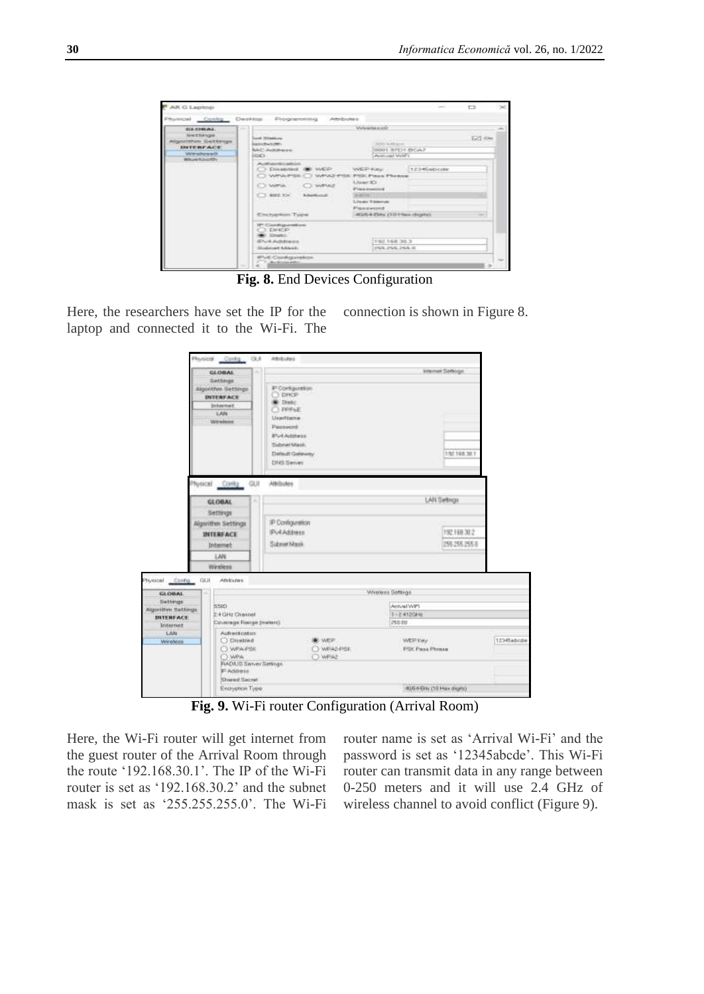| AR O Laptop                                                                                        |                                                                                                                                                                                             |                                                                                                                                                                                                    |                | - 50 |
|----------------------------------------------------------------------------------------------------|---------------------------------------------------------------------------------------------------------------------------------------------------------------------------------------------|----------------------------------------------------------------------------------------------------------------------------------------------------------------------------------------------------|----------------|------|
|                                                                                                    | Physical Contig Desitop Programming                                                                                                                                                         | Amitsules                                                                                                                                                                                          |                |      |
| <b>COLCHRAN</b><br><b>BATTIFIER</b><br><b>Hanciston Sections</b><br><b>INTERFACE</b><br>Wewitewali | m<br><b>Turni Illinoismu</b><br><b>Justiceworden</b><br><b>NAC Ackdrone:</b><br><b>IGKY</b>                                                                                                 | <b>Windows</b><br><b>SEND RANGERS </b><br>0001.9701.BCA7<br><b>Publicant Video</b>                                                                                                                 | <b>Ist One</b> |      |
| Shipe to other<br><b>CONTRACTOR</b>                                                                | Authenticates<br>C Disabled @ WEP<br>Whitehold C. What's<br>CT-Within<br>C) WHALE<br>$X = 3500$<br><b>Abertonic</b><br><b>CONTRACTOR</b><br><b>CONTRACTOR</b> CONTRACTOR<br>Encryption Type | 1234Gabcise<br>WEEKNAM.<br><b>PISC Piece Please</b><br>Lisan Kr.<br><b>Print-transfer 2</b><br><b>Administration</b><br>Lisan Trimmer<br><b>Financiazonal</b><br>AD/6-4-254x (1-3-1-ties chiantes) |                |      |
|                                                                                                    | IP-Cardiguration<br>3. DINCE<br><b>Elevent</b><br><b>IEPUM Activities</b><br><b>Studented Adams</b><br><b>IFSE Configuration</b>                                                            | 1982 198 30 3<br>TOWN, INVA 24A JE                                                                                                                                                                 |                |      |

**Fig. 8.** End Devices Configuration

Here, the researchers have set the IP for the laptop and connected it to the Wi-Fi. The connection is shown in Figure 8.

|                                                           |                | Physical Cardy GUI                                                                                                      | Athliutes                                                                                                                              |                                    |                                             |            |
|-----------------------------------------------------------|----------------|-------------------------------------------------------------------------------------------------------------------------|----------------------------------------------------------------------------------------------------------------------------------------|------------------------------------|---------------------------------------------|------------|
|                                                           |                | <b>GLOBAL</b><br>Gettings<br>Algorithm Settings<br><b>INTERFACE</b><br>bishmenwt<br><b>LANE</b><br>Wirmland             | ٠<br>P Configuration<br><b>EDHCP</b><br>Shell,<br>$1-FFPNE$<br>Usachiama<br>Pauraword<br><b>PULAdment</b><br>Submit Mack<br>DNS Server | Default Geleviny                   | Imervet Service<br>192148.30.1              |            |
|                                                           | <b>Nussing</b> | Contg GUI<br><b>GLOBAL</b><br>Settings<br>Algorithm Settings<br><b>INTERFACE</b><br><b>Distanted:</b><br>LAN<br>Windest | Attitutes<br>IP Configuration<br><b>PulAddress</b><br>Subnet Mask                                                                      |                                    | LAN Sethion<br>192,168,302<br>155 255 255 8 |            |
| $\triangle$ Enring<br>vsical<br><b>GLOBAL</b><br>Settings | CALIF          | <b>Afsiculars</b>                                                                                                       |                                                                                                                                        |                                    | Wireless Settings                           |            |
| gorithm Sattings<br><b>INTERFACE</b><br>Internet          |                | <b>SSID</b><br>2-4 GHz Clusted<br>Coverage Rampe (maters)                                                               |                                                                                                                                        |                                    | Arrival Wift<br>1+24120PH<br>258.00         |            |
| Listu<br>Wireless                                         |                | Automitication<br>C Direction<br>O WRAVES<br>C) WPA<br>FIADAJS Server Settings<br>F Address<br>Shared Secret            |                                                                                                                                        | <b>OWER</b><br>O WRADPSE<br>C WPAZ | WEE Key<br><b>FSK Pass Planes</b>           | 1234tabrde |
|                                                           |                | Excryption Type                                                                                                         |                                                                                                                                        |                                    | 40/64-Bits (10 Hax digita)                  |            |

**Fig. 9.** Wi-Fi router Configuration (Arrival Room)

Here, the Wi-Fi router will get internet from the guest router of the Arrival Room through the route '192.168.30.1'. The IP of the Wi-Fi router is set as '192.168.30.2' and the subnet mask is set as '255.255.255.0'. The Wi-Fi router name is set as 'Arrival Wi-Fi' and the password is set as '12345abcde'. This Wi-Fi router can transmit data in any range between 0-250 meters and it will use 2.4 GHz of wireless channel to avoid conflict (Figure 9).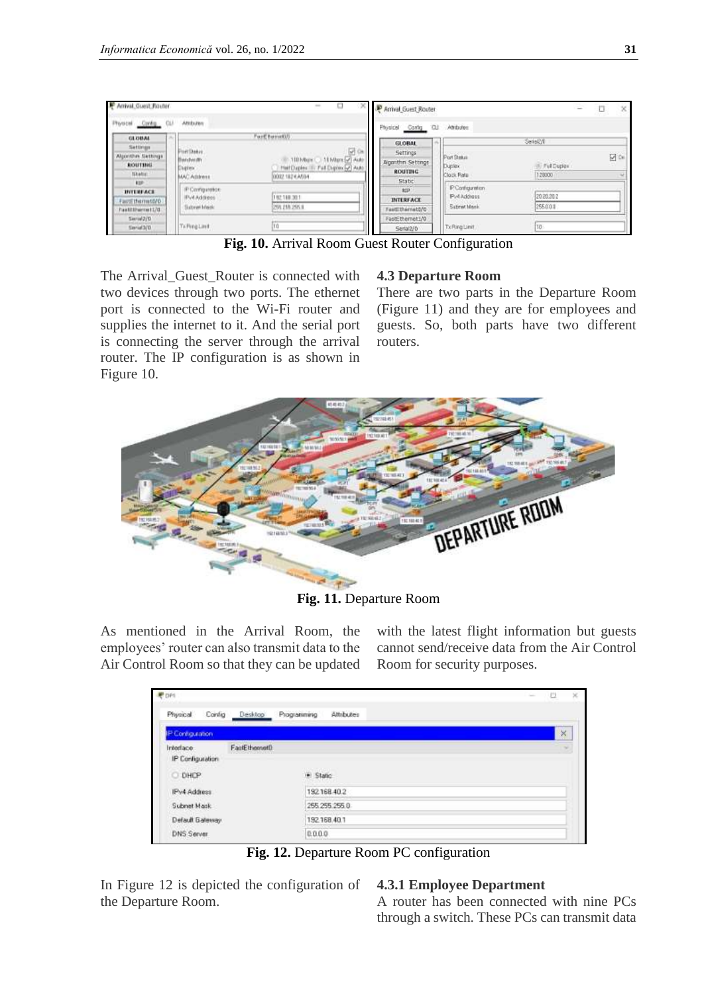| Arrival Guest Router                             | ---------------                                          | $\qquad \qquad \Box$<br>$\sim$                                                                                                 | $\times$ P Amval Guest Router                              |                                                           | D<br>$\times$<br>m.              |
|--------------------------------------------------|----------------------------------------------------------|--------------------------------------------------------------------------------------------------------------------------------|------------------------------------------------------------|-----------------------------------------------------------|----------------------------------|
| CLA<br>Physical Config.                          | Attituzen                                                |                                                                                                                                | Physical Contrg CLI                                        | Athdes                                                    |                                  |
| <b>GLOBAL</b><br><b>Settings</b>                 | $^{36}$                                                  | Farf twentill                                                                                                                  | <b>GLORAL</b>                                              | $-1$                                                      | Seiskit                          |
| Algorithm Settings<br>ROUTING<br>Sketch.         | <b>Port DeAre</b><br>Benderdin<br>Digita:<br>MAC Address | ₩<br><b>CH</b><br><b>SEMAN VI</b><br><b>100 Maps</b><br><b>ALAS</b><br>Helf Daples III: Full Digites of Auto<br>A00021824 A594 | Settings<br>Algorithm Settings<br><b>ROUTING</b><br>Static | Port Steaux<br>Dunley.<br>Clock Rate                      | 12 ℃<br>1. Full Duplex<br>128000 |
| <b>HIF</b><br><b>INTERFACE</b><br>actEthemsto/D. | IP Comguestoe<br><b>IPv4 Address</b>                     | 192188-301                                                                                                                     | <b>AUD</b><br><b>INTERFACE</b>                             | <b>P</b> Configuration<br><b>PMAddisss</b><br>Satrat Mask | 2020202<br>255,001               |
| Pastitibarrest170<br>Saria 2/D<br>Similat3/D     | Suitsvan March:<br>Trifling Limit                        | 259, 255, 255, 8<br>10                                                                                                         | astithemat070<br>FastEthemet1/0<br>Serial2/0               | TxRing Limit                                              | 10                               |

**Fig. 10.** Arrival Room Guest Router Configuration

The Arrival\_Guest\_Router is connected with two devices through two ports. The ethernet port is connected to the Wi-Fi router and supplies the internet to it. And the serial port is connecting the server through the arrival router. The IP configuration is as shown in Figure 10.

#### **4.3 Departure Room**

There are two parts in the Departure Room (Figure 11) and they are for employees and guests. So, both parts have two different routers.



**Fig. 11.** Departure Room

As mentioned in the Arrival Room, the employees' router can also transmit data to the Air Control Room so that they can be updated with the latest flight information but guests cannot send/receive data from the Air Control Room for security purposes.

| P DP1                         |                   |                           | - 53<br>× |
|-------------------------------|-------------------|---------------------------|-----------|
| Physical                      | Config<br>Desktop | Attributes<br>Programming |           |
| IP Contiguration              |                   |                           | ×         |
| Interface<br>IP Configuration | FailEthemetD      |                           |           |
| O DHCP                        |                   | · Statio                  |           |
| IPv4 Address                  |                   | 192168-40.2               |           |
| Subnet Mask                   |                   | 255, 255, 255, 0          |           |
| Default Galeway.              |                   | 192.168.40.1              |           |
| <b>DNS Server</b>             |                   | 0.0.0.0                   |           |

**Fig. 12.** Departure Room PC configuration

In Figure 12 is depicted the configuration of the Departure Room.

## **4.3.1 Employee Department**

A router has been connected with nine PCs through a switch. These PCs can transmit data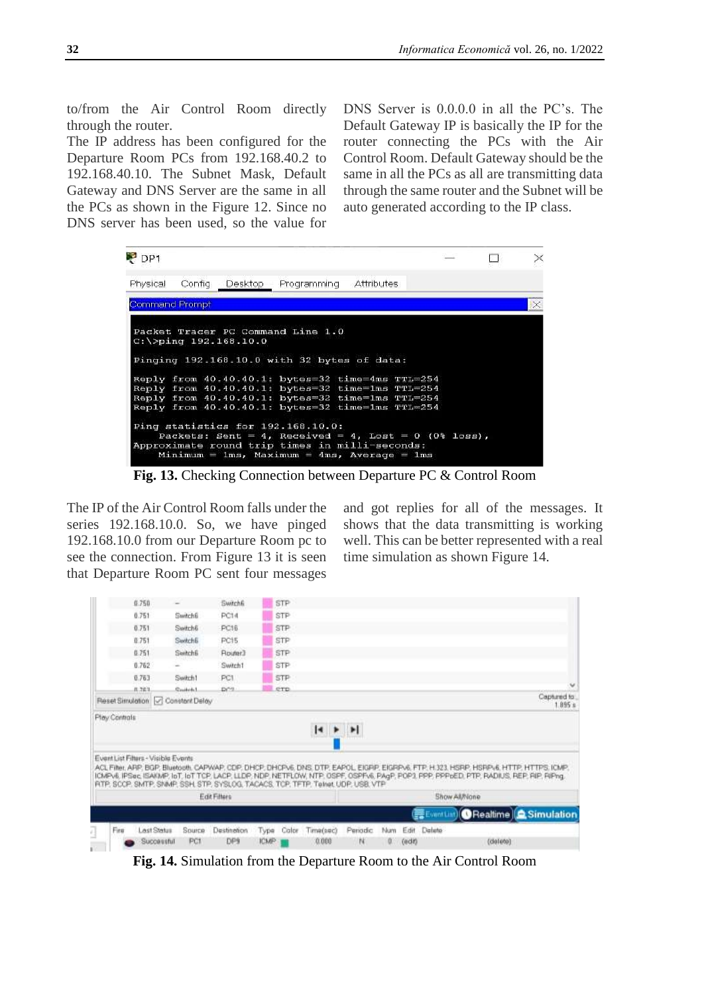to/from the Air Control Room directly through the router.

The IP address has been configured for the Departure Room PCs from 192.168.40.2 to 192.168.40.10. The Subnet Mask, Default Gateway and DNS Server are the same in all the PCs as shown in the Figure 12. Since no DNS server has been used, so the value for

DNS Server is 0.0.0.0 in all the PC's. The Default Gateway IP is basically the IP for the router connecting the PCs with the Air Control Room. Default Gateway should be the same in all the PCs as all are transmitting data through the same router and the Subnet will be auto generated according to the IP class.

| P <sub>DP1</sub>      |         |                          |                                                                                                                                                                                                                                                                                                  |  |  |          |
|-----------------------|---------|--------------------------|--------------------------------------------------------------------------------------------------------------------------------------------------------------------------------------------------------------------------------------------------------------------------------------------------|--|--|----------|
| Physical              | Config. | Desktop                  | Programming Attributes                                                                                                                                                                                                                                                                           |  |  |          |
| <b>Command Prompt</b> |         |                          |                                                                                                                                                                                                                                                                                                  |  |  | $\times$ |
|                       |         | $C:\$ >ping 192.168.10.0 | Packet Tracer PC Command Line 1.0<br>Pinging 192.168.10.0 with 32 bytes of data:<br>Reply from 40.40.40.1: bytes=32 time=4ms TTL=254<br>Reply from 40.40.40.1: bytes=32 time=1ms TTL=254<br>Reply from 40.40.40.1: bytes=32 time=1ms TTL=254<br>Reply from 40.40.40.1: bytes=32 time=1ms TTL=254 |  |  |          |
|                       |         |                          | Ping statistics for 192.168.10.0:<br>Packets: Sent = 4, Received = 4, Lost = 0 (0% loss),<br>Approximate round trip times in milli-seconds:<br>$Minimum = 1ms$ , $Maximum = 4ms$ , $Average = 1ms$                                                                                               |  |  |          |

**Fig. 13.** Checking Connection between Departure PC & Control Room

The IP of the Air Control Room falls under the series 192.168.10.0. So, we have pinged 192.168.10.0 from our Departure Room pc to see the connection. From Figure 13 it is seen that Departure Room PC sent four messages

and got replies for all of the messages. It shows that the data transmitting is working well. This can be better represented with a real time simulation as shown Figure 14.



**Fig. 14.** Simulation from the Departure Room to the Air Control Room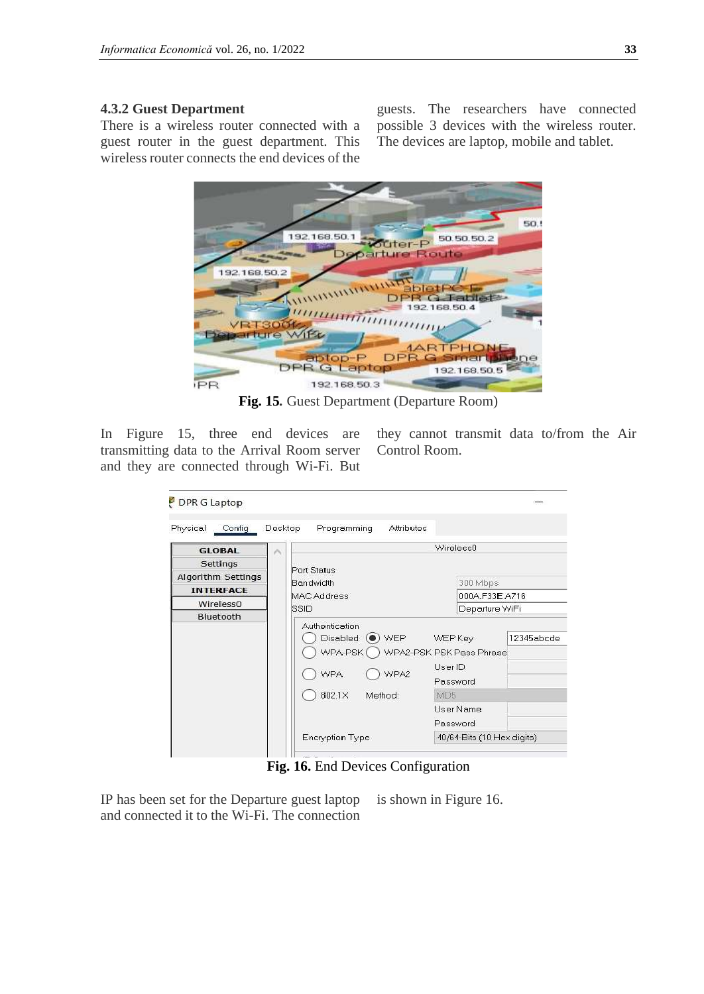## **4.3.2 Guest Department**

There is a wireless router connected with a guest router in the guest department. This wireless router connects the end devices of the

guests. The researchers have connected possible 3 devices with the wireless router. The devices are laptop, mobile and tablet.



**Fig. 15***.* Guest Department (Departure Room)

In Figure 15, three end devices are transmitting data to the Arrival Room server and they are connected through Wi-Fi. But

they cannot transmit data to/from the Air Control Room.

| Physical<br>Config        | Desktop | <b>Attributes</b><br>Programming                                                                              |                                                                          |            |
|---------------------------|---------|---------------------------------------------------------------------------------------------------------------|--------------------------------------------------------------------------|------------|
| <b>GLOBAL</b>             | ×       |                                                                                                               | Wireless0                                                                |            |
| Settings                  |         |                                                                                                               |                                                                          |            |
| <b>Algorithm Settings</b> |         | Port Status<br>Bandwidth                                                                                      | 300 Mbps                                                                 |            |
| <b>INTERFACE</b>          |         | <b>MAC Address</b>                                                                                            | 000A F33E A716                                                           |            |
| Wireless0                 |         | SSID                                                                                                          | Departure WiFi                                                           |            |
| Bluetooth                 |         |                                                                                                               |                                                                          |            |
|                           |         | Authentication<br>Disabled $\left(\bullet\right)$ WEP<br>WPA-PSK (<br><b>WPA</b><br>WPA2<br>802.1X<br>Method: | <b>WEP Key</b><br>WPA2-PSK PSK Pass Phrase<br>User ID<br>Password<br>MD5 | 12345abcde |

**Fig. 16.** End Devices Configuration

IP has been set for the Departure guest laptop and connected it to the Wi-Fi. The connection is shown in Figure 16.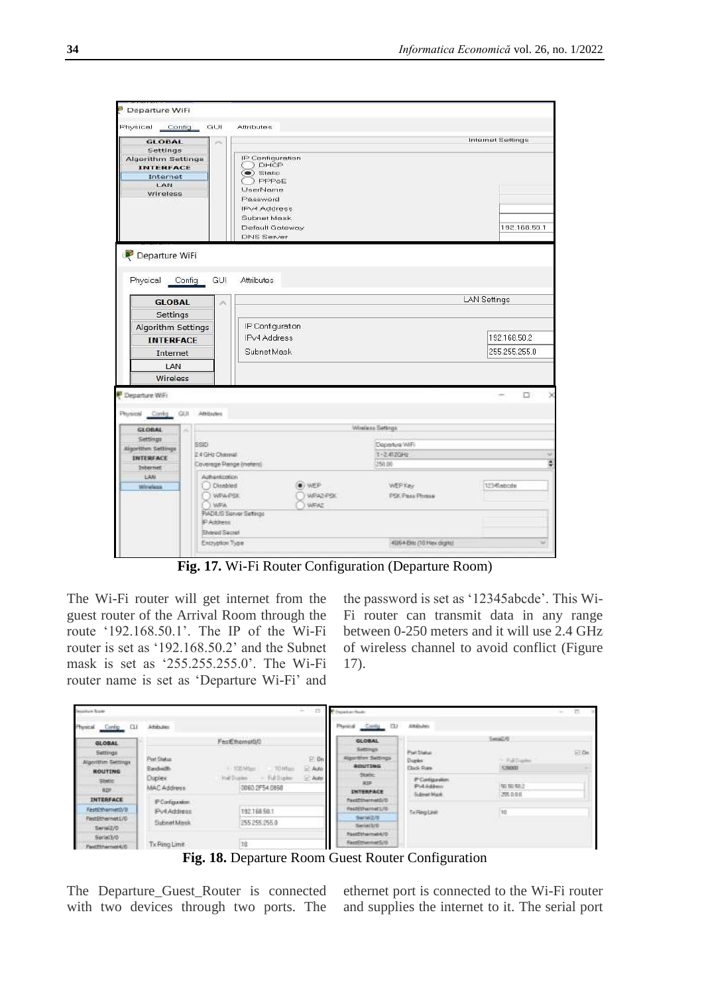| GUI<br>Physical<br>Config                     | <b>Attributes</b>                  |                  |                     |
|-----------------------------------------------|------------------------------------|------------------|---------------------|
| GLOBAL<br>×                                   |                                    |                  | Internet Settings   |
| Settings<br>Algorithm Settings                | IP Configuration                   |                  |                     |
| <b>INTERFACE</b>                              | ) DHCP                             |                  |                     |
| Internet                                      | $\bullet$ ) Static<br>) PPPoE      |                  |                     |
| LAN<br>Wireless                               | UserName                           |                  |                     |
|                                               | Password                           |                  |                     |
|                                               | <b>IPV4 Address</b><br>Subnet Mask |                  |                     |
|                                               | Default Gateway                    |                  | 192.168.50.1        |
|                                               | <b>DNS Server</b>                  |                  |                     |
| <b>GLOBAL</b><br>×                            |                                    |                  | <b>LAN Settings</b> |
| Settings                                      |                                    |                  |                     |
| Algorithm Settings                            | IP Configuration                   |                  |                     |
| <b>INTERFACE</b>                              | <b>IPv4 Address</b>                |                  | 192.168.50.2        |
|                                               | Subnet Mask                        |                  | 255.255.255.0       |
| Internet                                      |                                    |                  |                     |
| LAN                                           |                                    |                  |                     |
| Wireless                                      |                                    |                  |                     |
| Departure WiFi                                |                                    |                  | D.                  |
|                                               |                                    |                  |                     |
| Contg GUL<br>Atributes<br>Physical            |                                    |                  |                     |
| <b>GLOBAL</b><br>×                            |                                    | Windess Settings |                     |
| Settings<br>SSD<br>Algorithm Settings         |                                    | Dopening WIFI    |                     |
| 24GHz Charalal<br>INTERFACE                   |                                    | $1 - 2.4726 + 0$ |                     |
| Coverage Range (meters)<br>Internet           |                                    | 250.00           |                     |
| Authentication<br>LAN<br>Disabled<br>Wirwlass | WE'P                               | <b>WEEKey</b>    | 1214Gabcde          |
| WAARSE                                        | WRAZI FISK                         | PSK Pass Phrase  |                     |
| WFA                                           | <b>WEAT</b>                        |                  |                     |
| FIADILIS Sorver Settings<br><b>IP Address</b> |                                    |                  |                     |
| <b>Shared Secret</b>                          |                                    |                  |                     |

**Fig. 17.** Wi-Fi Router Configuration (Departure Room)

The Wi-Fi router will get internet from the guest router of the Arrival Room through the route '192.168.50.1'. The IP of the Wi-Fi router is set as '192.168.50.2' and the Subnet mask is set as '255.255.255.0'. The Wi-Fi router name is set as 'Departure Wi-Fi' and the password is set as '12345abcde'. This Wi-Fi router can transmit data in any range between 0-250 meters and it will use 2.4 GHz of wireless channel to avoid conflict (Figure 17).

| <b>Designation Router</b>                 |                               | $\frac{1}{2} \left( \frac{1}{2} \right) \left( \frac{1}{2} \right)$                                | period floor                                                |                                                      |                            | m.  |
|-------------------------------------------|-------------------------------|----------------------------------------------------------------------------------------------------|-------------------------------------------------------------|------------------------------------------------------|----------------------------|-----|
| Physical Config CLI                       | <b>CONTRACTOR</b><br>Athhutes |                                                                                                    | Physical Conlig CU                                          | Attibules                                            |                            |     |
| <b>GLOBAL</b>                             |                               | FestEthomot0/0                                                                                     | GLOBAL                                                      |                                                      | Sana2/6                    |     |
| Settings<br>Algorithm Sectings<br>ROUTING | Port Status<br>Saxbidti.      | the state of the control of the<br>$E$ On<br>THE R. P. LEWIS<br>+ 100 Mfax<br>. TITMBass.<br>2.440 | Sattings<br>Algorithm Seithngs<br><b>BUTTING</b><br>Statte: | Port Status:<br>Ducker<br>Cludi Polte                | 1- Full Display<br>3,30000 | E04 |
| State:<br><b>RDF</b>                      | <b>Duplex</b><br>MAC Address  | - Full Duplex<br>$-$ Autor<br>Well Duplex<br>0080.2F54.0868                                        | 201<br><b>INTERFACE</b>                                     | P Contgaraker.<br>Put Address<br><b>Guinear Mark</b> | 第6条2<br>295.0.0.0          |     |
| INTERFACE                                 | P Configuration               |                                                                                                    | PactDinerrieS/D                                             |                                                      |                            |     |
| FastEthermett/II                          | Pv4 Address                   | a complete the state of the state of the com-<br>192168 501                                        | Featory artist 170                                          | TellingLast                                          | 30                         |     |
| FastEthemet1/0<br>Serial2/O               | Subnet Mask                   | 255 255 255 0                                                                                      | Bertel2/8<br>Serialivir                                     |                                                      |                            |     |
| Serial3/0<br>Pantfilmertuit4/C            | Tx Ping Limit                 | 110                                                                                                | FastDthernet470<br>EastPromerS/D                            |                                                      |                            |     |

**Fig. 18.** Departure Room Guest Router Configuration

The Departure\_Guest\_Router is connected with two devices through two ports. The ethernet port is connected to the Wi-Fi router and supplies the internet to it. The serial port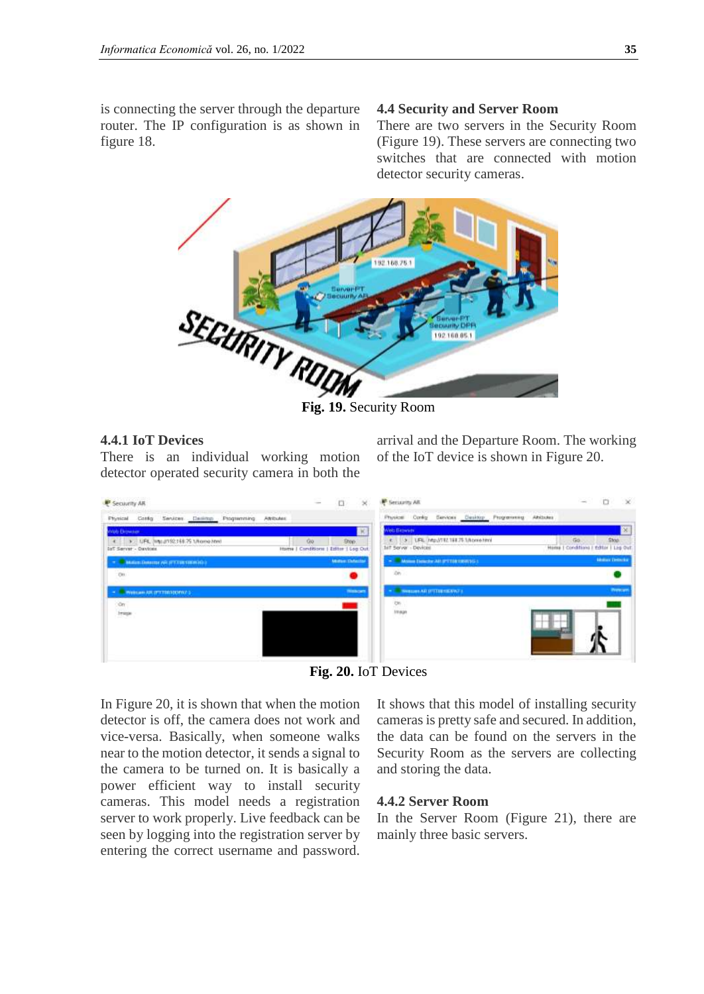#### **4.4 Security and Server Room**

There are two servers in the Security Room (Figure 19). These servers are connecting two switches that are connected with motion detector security cameras.



**Fig. 19.** Security Room

### **4.4.1 IoT Devices**

There is an individual working motion detector operated security camera in both the

arrival and the Departure Room. The working of the IoT device is shown in Figure 20.



**Fig. 20.** IoT Devices

In Figure 20, it is shown that when the motion detector is off, the camera does not work and vice-versa. Basically, when someone walks near to the motion detector, it sends a signal to the camera to be turned on. It is basically a power efficient way to install security cameras. This model needs a registration server to work properly. Live feedback can be seen by logging into the registration server by entering the correct username and password.

It shows that this model of installing security cameras is pretty safe and secured. In addition, the data can be found on the servers in the Security Room as the servers are collecting and storing the data.

#### **4.4.2 Server Room**

In the Server Room (Figure 21), there are mainly three basic servers.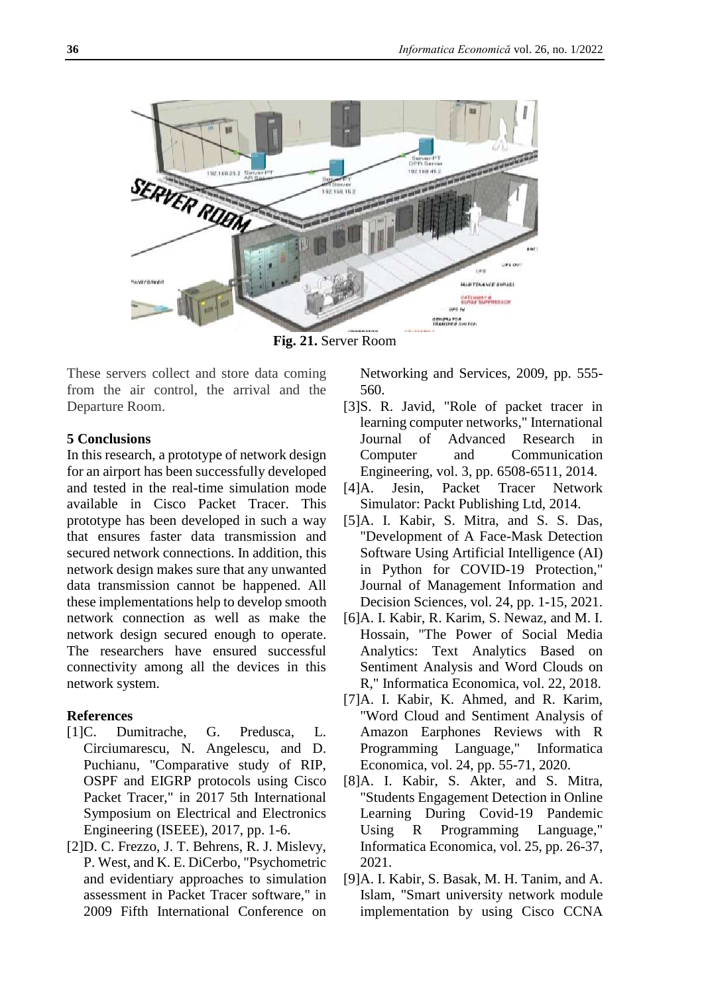

**Fig. 21.** Server Room

These servers collect and store data coming from the air control, the arrival and the Departure Room.

## **5 Conclusions**

In this research, a prototype of network design for an airport has been successfully developed and tested in the real-time simulation mode available in Cisco Packet Tracer. This prototype has been developed in such a way that ensures faster data transmission and secured network connections. In addition, this network design makes sure that any unwanted data transmission cannot be happened. All these implementations help to develop smooth network connection as well as make the network design secured enough to operate. The researchers have ensured successful connectivity among all the devices in this network system.

## **References**

- [1]C. Dumitrache, G. Predusca, L. Circiumarescu, N. Angelescu, and D. Puchianu, "Comparative study of RIP, OSPF and EIGRP protocols using Cisco Packet Tracer," in 2017 5th International Symposium on Electrical and Electronics Engineering (ISEEE), 2017, pp. 1-6.
- [2]D. C. Frezzo, J. T. Behrens, R. J. Mislevy, P. West, and K. E. DiCerbo, "Psychometric and evidentiary approaches to simulation assessment in Packet Tracer software," in 2009 Fifth International Conference on

Networking and Services, 2009, pp. 555- 560.

- [3]S. R. Javid, "Role of packet tracer in learning computer networks," International Journal of Advanced Research in Computer and Communication Engineering, vol. 3, pp. 6508-6511, 2014.
- [4]A. Jesin, Packet Tracer Network Simulator: Packt Publishing Ltd, 2014.
- [5]A. I. Kabir, S. Mitra, and S. S. Das, "Development of A Face-Mask Detection Software Using Artificial Intelligence (AI) in Python for COVID-19 Protection," Journal of Management Information and Decision Sciences, vol. 24, pp. 1-15, 2021.
- [6]A. I. Kabir, R. Karim, S. Newaz, and M. I. Hossain, "The Power of Social Media Analytics: Text Analytics Based on Sentiment Analysis and Word Clouds on R," Informatica Economica, vol. 22, 2018.
- [7]A. I. Kabir, K. Ahmed, and R. Karim, "Word Cloud and Sentiment Analysis of Amazon Earphones Reviews with R Programming Language," Informatica Economica, vol. 24, pp. 55-71, 2020.
- [8]A. I. Kabir, S. Akter, and S. Mitra, "Students Engagement Detection in Online Learning During Covid-19 Pandemic Using R Programming Language," Informatica Economica, vol. 25, pp. 26-37, 2021.
- [9]A. I. Kabir, S. Basak, M. H. Tanim, and A. Islam, "Smart university network module implementation by using Cisco CCNA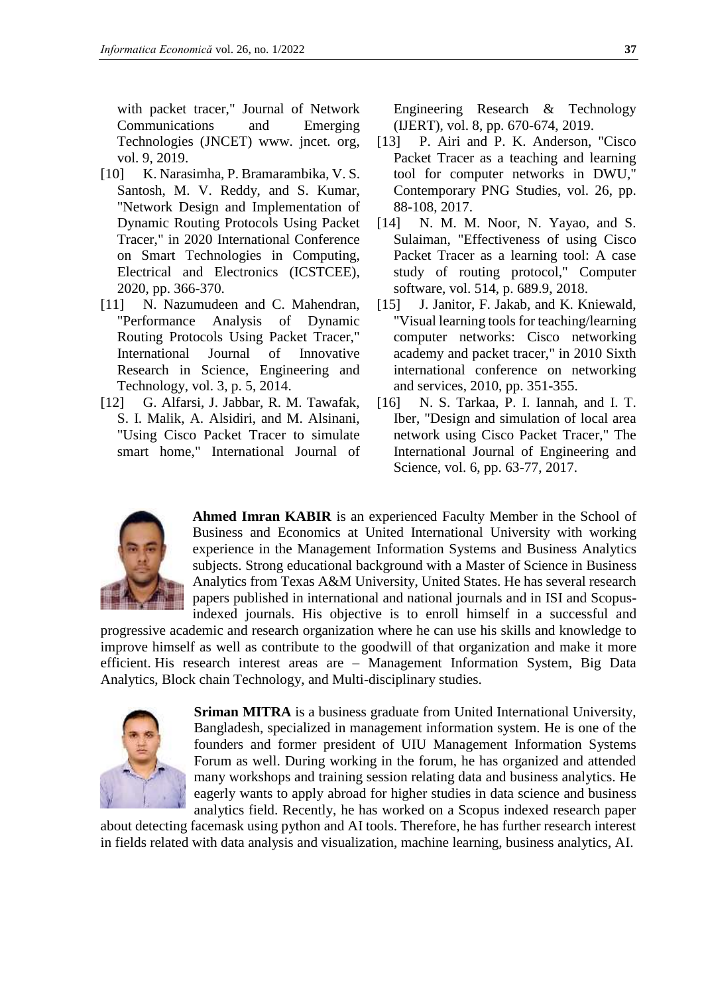with packet tracer," Journal of Network Communications and Emerging Technologies (JNCET) www. jncet. org, vol. 9, 2019.

- [10] K. Narasimha, P. Bramarambika, V. S. Santosh, M. V. Reddy, and S. Kumar, "Network Design and Implementation of Dynamic Routing Protocols Using Packet Tracer," in 2020 International Conference on Smart Technologies in Computing, Electrical and Electronics (ICSTCEE), 2020, pp. 366-370.
- [11] N. Nazumudeen and C. Mahendran, "Performance Analysis of Dynamic Routing Protocols Using Packet Tracer," International Journal of Innovative Research in Science, Engineering and Technology, vol. 3, p. 5, 2014.
- [12] G. Alfarsi, J. Jabbar, R. M. Tawafak, S. I. Malik, A. Alsidiri, and M. Alsinani, "Using Cisco Packet Tracer to simulate smart home," International Journal of

Engineering Research & Technology (IJERT), vol. 8, pp. 670-674, 2019.

- [13] P. Airi and P. K. Anderson, "Cisco Packet Tracer as a teaching and learning tool for computer networks in DWU," Contemporary PNG Studies, vol. 26, pp. 88-108, 2017.
- [14] N. M. M. Noor, N. Yayao, and S. Sulaiman, "Effectiveness of using Cisco Packet Tracer as a learning tool: A case study of routing protocol," Computer software, vol. 514, p. 689.9, 2018.
- [15] J. Janitor, F. Jakab, and K. Kniewald, "Visual learning tools for teaching/learning computer networks: Cisco networking academy and packet tracer," in 2010 Sixth international conference on networking and services, 2010, pp. 351-355.
- [16] N. S. Tarkaa, P. I. Iannah, and I. T. Iber, "Design and simulation of local area network using Cisco Packet Tracer," The International Journal of Engineering and Science, vol. 6, pp. 63-77, 2017.



**Ahmed Imran KABIR** is an experienced Faculty Member in the School of Business and Economics at United International University with working experience in the Management Information Systems and Business Analytics subjects. Strong educational background with a Master of Science in Business Analytics from Texas A&M University, United States. He has several research papers published in international and national journals and in ISI and Scopusindexed journals. His objective is to enroll himself in a successful and

progressive academic and research organization where he can use his skills and knowledge to improve himself as well as contribute to the goodwill of that organization and make it more efficient. His research interest areas are – Management Information System, Big Data Analytics, Block chain Technology, and Multi-disciplinary studies.



**Sriman MITRA** is a business graduate from United International University, Bangladesh, specialized in management information system. He is one of the founders and former president of UIU Management Information Systems Forum as well. During working in the forum, he has organized and attended many workshops and training session relating data and business analytics. He eagerly wants to apply abroad for higher studies in data science and business analytics field. Recently, he has worked on a Scopus indexed research paper

about detecting facemask using python and AI tools. Therefore, he has further research interest in fields related with data analysis and visualization, machine learning, business analytics, AI.